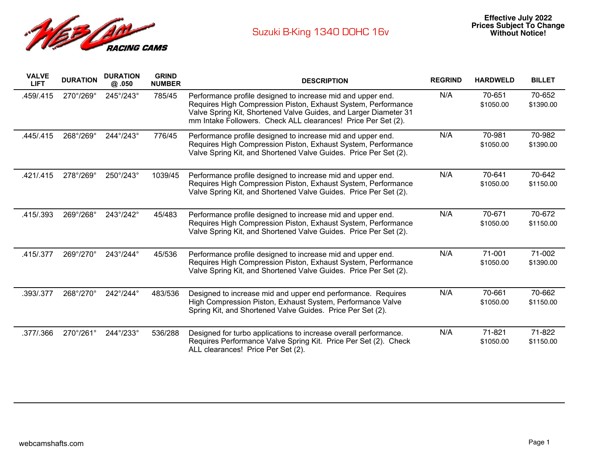

| <b>VALVE</b><br><b>LIFT</b> | <b>DURATION</b> | <b>DURATION</b><br>@ .050 | <b>GRIND</b><br><b>NUMBER</b> | <b>DESCRIPTION</b>                                                                                                                                                                                                                                                | <b>REGRIND</b> | <b>HARDWELD</b>     | <b>BILLET</b>       |
|-----------------------------|-----------------|---------------------------|-------------------------------|-------------------------------------------------------------------------------------------------------------------------------------------------------------------------------------------------------------------------------------------------------------------|----------------|---------------------|---------------------|
| .459/.415                   | 270°/269°       | 245°/243°                 | 785/45                        | Performance profile designed to increase mid and upper end.<br>Requires High Compression Piston, Exhaust System, Performance<br>Valve Spring Kit, Shortened Valve Guides, and Larger Diameter 31<br>mm Intake Followers. Check ALL clearances! Price Per Set (2). | N/A            | 70-651<br>\$1050.00 | 70-652<br>\$1390.00 |
| .445/.415                   | 268°/269°       | 244°/243°                 | 776/45                        | Performance profile designed to increase mid and upper end.<br>Requires High Compression Piston, Exhaust System, Performance<br>Valve Spring Kit, and Shortened Valve Guides. Price Per Set (2).                                                                  | N/A            | 70-981<br>\$1050.00 | 70-982<br>\$1390.00 |
| .421/.415                   | 278°/269°       | 250°/243°                 | 1039/45                       | Performance profile designed to increase mid and upper end.<br>Requires High Compression Piston, Exhaust System, Performance<br>Valve Spring Kit, and Shortened Valve Guides. Price Per Set (2).                                                                  | N/A            | 70-641<br>\$1050.00 | 70-642<br>\$1150.00 |
| .415/.393                   | 269°/268°       | 243°/242°                 | 45/483                        | Performance profile designed to increase mid and upper end.<br>Requires High Compression Piston, Exhaust System, Performance<br>Valve Spring Kit, and Shortened Valve Guides. Price Per Set (2).                                                                  | N/A            | 70-671<br>\$1050.00 | 70-672<br>\$1150.00 |
| .415/.377                   | 269°/270°       | 243°/244°                 | 45/536                        | Performance profile designed to increase mid and upper end.<br>Requires High Compression Piston, Exhaust System, Performance<br>Valve Spring Kit, and Shortened Valve Guides. Price Per Set (2).                                                                  | N/A            | 71-001<br>\$1050.00 | 71-002<br>\$1390.00 |
| .393/.377                   | 268°/270°       | 242°/244°                 | 483/536                       | Designed to increase mid and upper end performance. Requires<br>High Compression Piston, Exhaust System, Performance Valve<br>Spring Kit, and Shortened Valve Guides. Price Per Set (2).                                                                          | N/A            | 70-661<br>\$1050.00 | 70-662<br>\$1150.00 |
| .377/.366                   | 270°/261°       | 244°/233°                 | 536/288                       | Designed for turbo applications to increase overall performance.<br>Requires Performance Valve Spring Kit. Price Per Set (2). Check<br>ALL clearances! Price Per Set (2).                                                                                         | N/A            | 71-821<br>\$1050.00 | 71-822<br>\$1150.00 |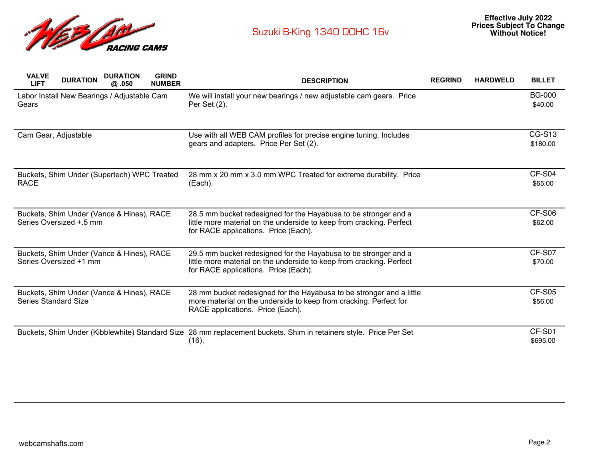

| <b>GRIND</b><br><b>VALVE</b><br><b>DURATION</b><br><b>DURATION</b><br><b>LIFT</b><br><b>NUMBER</b><br>@.050 | <b>DESCRIPTION</b>                                                                                                                                                              | <b>REGRIND</b> | <b>HARDWELD</b> | <b>BILLET</b>             |
|-------------------------------------------------------------------------------------------------------------|---------------------------------------------------------------------------------------------------------------------------------------------------------------------------------|----------------|-----------------|---------------------------|
| Labor Install New Bearings / Adjustable Cam<br>Gears                                                        | We will install your new bearings / new adjustable cam gears. Price<br>Per Set (2).                                                                                             |                |                 | <b>BG-000</b><br>\$40.00  |
| Cam Gear, Adjustable                                                                                        | Use with all WEB CAM profiles for precise engine tuning. Includes<br>gears and adapters. Price Per Set (2).                                                                     |                |                 | <b>CG-S13</b><br>\$180.00 |
| Buckets, Shim Under (Supertech) WPC Treated<br><b>RACE</b>                                                  | 28 mm x 20 mm x 3.0 mm WPC Treated for extreme durability. Price<br>(Each).                                                                                                     |                |                 | CF-S04<br>\$65.00         |
| Buckets, Shim Under (Vance & Hines), RACE<br>Series Oversized +.5 mm                                        | 28.5 mm bucket redesigned for the Hayabusa to be stronger and a<br>little more material on the underside to keep from cracking. Perfect<br>for RACE applications. Price (Each). |                |                 | CF-S06<br>\$62.00         |
| Buckets, Shim Under (Vance & Hines), RACE<br>Series Oversized +1 mm                                         | 29.5 mm bucket redesigned for the Hayabusa to be stronger and a<br>little more material on the underside to keep from cracking. Perfect<br>for RACE applications. Price (Each). |                |                 | CF-S07<br>\$70.00         |
| Buckets, Shim Under (Vance & Hines), RACE<br><b>Series Standard Size</b>                                    | 28 mm bucket redesigned for the Hayabusa to be stronger and a little<br>more material on the underside to keep from cracking. Perfect for<br>RACE applications. Price (Each).   |                |                 | CF-S05<br>\$56.00         |
|                                                                                                             | Buckets, Shim Under (Kibblewhite) Standard Size 28 mm replacement buckets. Shim in retainers style. Price Per Set<br>(16).                                                      |                |                 | CF-S01<br>\$695.00        |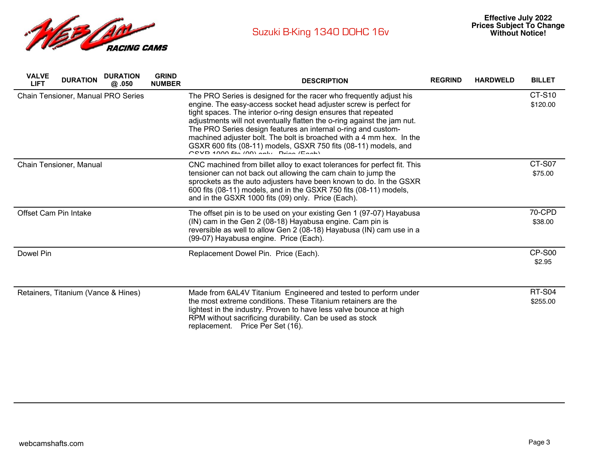

| <b>VALVE</b><br><b>LIFT</b> | <b>DURATION</b>                     | <b>DURATION</b><br>@ .050          | <b>GRIND</b><br><b>NUMBER</b> | <b>DESCRIPTION</b>                                                                                                                                                                                                                                                                                                                                                                                                                                                                                                                         | <b>REGRIND</b> | <b>HARDWELD</b> | <b>BILLET</b>             |
|-----------------------------|-------------------------------------|------------------------------------|-------------------------------|--------------------------------------------------------------------------------------------------------------------------------------------------------------------------------------------------------------------------------------------------------------------------------------------------------------------------------------------------------------------------------------------------------------------------------------------------------------------------------------------------------------------------------------------|----------------|-----------------|---------------------------|
|                             |                                     | Chain Tensioner, Manual PRO Series |                               | The PRO Series is designed for the racer who frequently adjust his<br>engine. The easy-access socket head adjuster screw is perfect for<br>tight spaces. The interior o-ring design ensures that repeated<br>adjustments will not eventually flatten the o-ring against the jam nut.<br>The PRO Series design features an internal o-ring and custom-<br>machined adjuster bolt. The bolt is broached with a 4 mm hex. In the<br>GSXR 600 fits (08-11) models, GSXR 750 fits (08-11) models, and<br>COVD 1000 fits (00) antic Dring (Each) |                |                 | <b>CT-S10</b><br>\$120.00 |
|                             | Chain Tensioner, Manual             |                                    |                               | CNC machined from billet alloy to exact tolerances for perfect fit. This<br>tensioner can not back out allowing the cam chain to jump the<br>sprockets as the auto adjusters have been known to do. In the GSXR<br>600 fits (08-11) models, and in the GSXR 750 fits (08-11) models,<br>and in the GSXR 1000 fits (09) only. Price (Each).                                                                                                                                                                                                 |                |                 | <b>CT-S07</b><br>\$75.00  |
| Offset Cam Pin Intake       |                                     |                                    |                               | The offset pin is to be used on your existing Gen 1 (97-07) Hayabusa<br>(IN) cam in the Gen 2 (08-18) Hayabusa engine. Cam pin is<br>reversible as well to allow Gen 2 (08-18) Hayabusa (IN) cam use in a<br>(99-07) Hayabusa engine. Price (Each).                                                                                                                                                                                                                                                                                        |                |                 | 70-CPD<br>\$38.00         |
| Dowel Pin                   |                                     |                                    |                               | Replacement Dowel Pin. Price (Each).                                                                                                                                                                                                                                                                                                                                                                                                                                                                                                       |                |                 | <b>CP-S00</b><br>\$2.95   |
|                             | Retainers, Titanium (Vance & Hines) |                                    |                               | Made from 6AL4V Titanium Engineered and tested to perform under<br>the most extreme conditions. These Titanium retainers are the<br>lightest in the industry. Proven to have less valve bounce at high<br>RPM without sacrificing durability. Can be used as stock<br>replacement. Price Per Set (16).                                                                                                                                                                                                                                     |                |                 | <b>RT-S04</b><br>\$255.00 |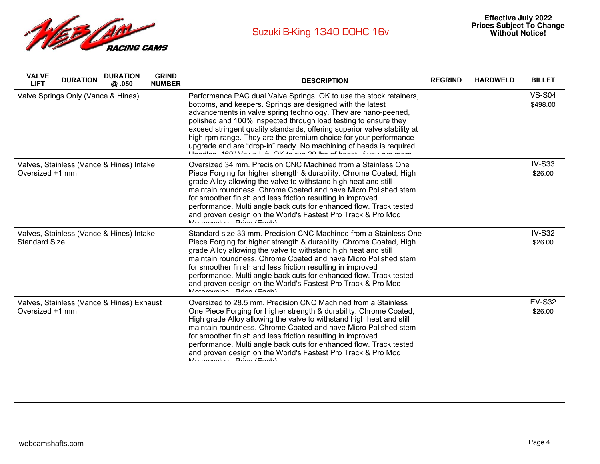

| <b>VALVE</b><br><b>LIFT</b> | <b>DURATION</b>                    | <b>DURATION</b><br>@ .050                 | <b>GRIND</b><br><b>NUMBER</b> | <b>DESCRIPTION</b>                                                                                                                                                                                                                                                                                                                                                                                                                                                                                                                                                | <b>REGRIND</b> | <b>HARDWELD</b> | <b>BILLET</b>             |
|-----------------------------|------------------------------------|-------------------------------------------|-------------------------------|-------------------------------------------------------------------------------------------------------------------------------------------------------------------------------------------------------------------------------------------------------------------------------------------------------------------------------------------------------------------------------------------------------------------------------------------------------------------------------------------------------------------------------------------------------------------|----------------|-----------------|---------------------------|
|                             | Valve Springs Only (Vance & Hines) |                                           |                               | Performance PAC dual Valve Springs. OK to use the stock retainers,<br>bottoms, and keepers. Springs are designed with the latest<br>advancements in valve spring technology. They are nano-peened,<br>polished and 100% inspected through load testing to ensure they<br>exceed stringent quality standards, offering superior valve stability at<br>high rpm range. They are the premium choice for your performance<br>upgrade and are "drop-in" ready. No machining of heads is required.<br>Hondles 180" Value Lift OK to run 20 lbs of boost if you run more |                |                 | <b>VS-S04</b><br>\$498.00 |
| Oversized +1 mm             |                                    | Valves, Stainless (Vance & Hines) Intake  |                               | Oversized 34 mm. Precision CNC Machined from a Stainless One<br>Piece Forging for higher strength & durability. Chrome Coated, High<br>grade Alloy allowing the valve to withstand high heat and still<br>maintain roundness. Chrome Coated and have Micro Polished stem<br>for smoother finish and less friction resulting in improved<br>performance. Multi angle back cuts for enhanced flow. Track tested<br>and proven design on the World's Fastest Pro Track & Pro Mod<br>Matarovalon Drion (Foob)                                                         |                |                 | <b>IV-S33</b><br>\$26.00  |
| <b>Standard Size</b>        |                                    | Valves, Stainless (Vance & Hines) Intake  |                               | Standard size 33 mm. Precision CNC Machined from a Stainless One<br>Piece Forging for higher strength & durability. Chrome Coated, High<br>grade Alloy allowing the valve to withstand high heat and still<br>maintain roundness. Chrome Coated and have Micro Polished stem<br>for smoother finish and less friction resulting in improved<br>performance. Multi angle back cuts for enhanced flow. Track tested<br>and proven design on the World's Fastest Pro Track & Pro Mod<br>$Mationulaa$ $Dirich (Each)$                                                 |                |                 | <b>IV-S32</b><br>\$26.00  |
| Oversized +1 mm             |                                    | Valves, Stainless (Vance & Hines) Exhaust |                               | Oversized to 28.5 mm. Precision CNC Machined from a Stainless<br>One Piece Forging for higher strength & durability. Chrome Coated,<br>High grade Alloy allowing the valve to withstand high heat and still<br>maintain roundness. Chrome Coated and have Micro Polished stem<br>for smoother finish and less friction resulting in improved<br>performance. Multi angle back cuts for enhanced flow. Track tested<br>and proven design on the World's Fastest Pro Track & Pro Mod<br>Motorovalon Drian (Each)                                                    |                |                 | <b>EV-S32</b><br>\$26.00  |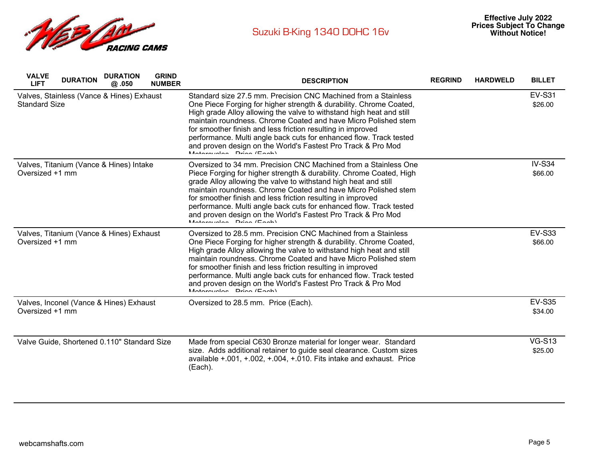

| <b>VALVE</b><br><b>DURATION</b><br><b>LIFT</b>                    | <b>DURATION</b><br>@.050 | <b>GRIND</b><br><b>NUMBER</b> | <b>DESCRIPTION</b>                                                                                                                                                                                                                                                                                                                                                                                                                                                                                                  | <b>REGRIND</b> | <b>HARDWELD</b> | <b>BILLET</b>            |
|-------------------------------------------------------------------|--------------------------|-------------------------------|---------------------------------------------------------------------------------------------------------------------------------------------------------------------------------------------------------------------------------------------------------------------------------------------------------------------------------------------------------------------------------------------------------------------------------------------------------------------------------------------------------------------|----------------|-----------------|--------------------------|
| Valves, Stainless (Vance & Hines) Exhaust<br><b>Standard Size</b> |                          |                               | Standard size 27.5 mm. Precision CNC Machined from a Stainless<br>One Piece Forging for higher strength & durability. Chrome Coated,<br>High grade Alloy allowing the valve to withstand high heat and still<br>maintain roundness. Chrome Coated and have Micro Polished stem<br>for smoother finish and less friction resulting in improved<br>performance. Multi angle back cuts for enhanced flow. Track tested<br>and proven design on the World's Fastest Pro Track & Pro Mod<br>$MationulaB$ $Dirich (Each)$ |                |                 | <b>EV-S31</b><br>\$26.00 |
| Valves, Titanium (Vance & Hines) Intake<br>Oversized +1 mm        |                          |                               | Oversized to 34 mm. Precision CNC Machined from a Stainless One<br>Piece Forging for higher strength & durability. Chrome Coated, High<br>grade Alloy allowing the valve to withstand high heat and still<br>maintain roundness. Chrome Coated and have Micro Polished stem<br>for smoother finish and less friction resulting in improved<br>performance. Multi angle back cuts for enhanced flow. Track tested<br>and proven design on the World's Fastest Pro Track & Pro Mod<br>$Mationulaa$ $Dina (Each)$      |                |                 | <b>IV-S34</b><br>\$66.00 |
| Valves, Titanium (Vance & Hines) Exhaust<br>Oversized +1 mm       |                          |                               | Oversized to 28.5 mm. Precision CNC Machined from a Stainless<br>One Piece Forging for higher strength & durability. Chrome Coated,<br>High grade Alloy allowing the valve to withstand high heat and still<br>maintain roundness. Chrome Coated and have Micro Polished stem<br>for smoother finish and less friction resulting in improved<br>performance. Multi angle back cuts for enhanced flow. Track tested<br>and proven design on the World's Fastest Pro Track & Pro Mod<br>$Mationulaa$ $Dirichlet$      |                |                 | <b>EV-S33</b><br>\$66.00 |
| Valves, Inconel (Vance & Hines) Exhaust<br>Oversized +1 mm        |                          |                               | Oversized to 28.5 mm. Price (Each).                                                                                                                                                                                                                                                                                                                                                                                                                                                                                 |                |                 | <b>EV-S35</b><br>\$34.00 |
| Valve Guide, Shortened 0.110" Standard Size                       |                          |                               | Made from special C630 Bronze material for longer wear. Standard<br>size. Adds additional retainer to guide seal clearance. Custom sizes<br>available $+.001,+.002,+.004,+.010.$ Fits intake and exhaust. Price<br>(Each).                                                                                                                                                                                                                                                                                          |                |                 | <b>VG-S13</b><br>\$25.00 |